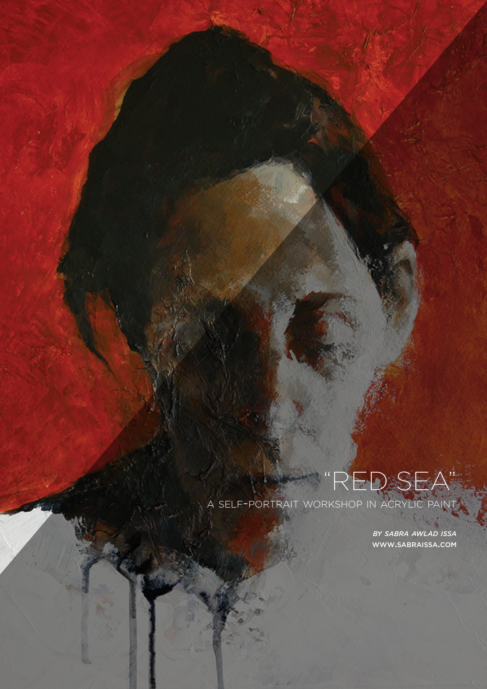## RED SE.

A SELF-PORTRAIT WORKSHOP IN ACRYLIC PAINT

*BY SABRA AWLAD ISSA* WWW.SABRAISSA.COM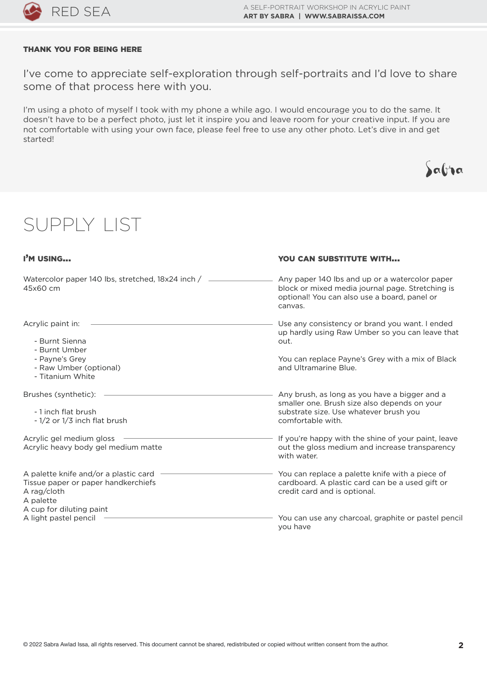

## THANK YOU FOR BEING HERE

I've come to appreciate self-exploration through self-portraits and I'd love to share some of that process here with you.

I'm using a photo of myself I took with my phone a while ago. I would encourage you to do the same. It doesn't have to be a perfect photo, just let it inspire you and leave room for your creative input. If you are not comfortable with using your own face, please feel free to use any other photo. Let's dive in and get started!

| <b>SUPPLY LIST</b>                                                                                                                                            |                                                                                                                                                                                                                                                                       |
|---------------------------------------------------------------------------------------------------------------------------------------------------------------|-----------------------------------------------------------------------------------------------------------------------------------------------------------------------------------------------------------------------------------------------------------------------|
| I'M USING                                                                                                                                                     | <b>YOU CAN SUBSTITUTE WITH</b>                                                                                                                                                                                                                                        |
| Watercolor paper 140 lbs, stretched, 18x24 inch /<br>45x60 cm                                                                                                 | Any paper 140 lbs and up or a watercolor paper<br>block or mixed media journal page. Stretching is<br>optional! You can also use a board, panel or<br>canvas.                                                                                                         |
| Acrylic paint in:<br>- Burnt Sienna<br>- Burnt Umber<br>- Payne's Grey<br>- Raw Umber (optional)<br>- Titanium White                                          | Use any consistency or brand you want. I ended<br>up hardly using Raw Umber so you can leave that<br>out.<br>You can replace Payne's Grey with a mix of Black<br>and Ultramarine Blue.                                                                                |
| Brushes (synthetic):<br>- 1 inch flat brush<br>- 1/2 or 1/3 inch flat brush<br>Acrylic gel medium gloss<br>Acrylic heavy body gel medium matte                | Any brush, as long as you have a bigger and a<br>smaller one. Brush size also depends on your<br>substrate size. Use whatever brush you<br>comfortable with.<br>If you're happy with the shine of your paint, leave<br>out the gloss medium and increase transparency |
| A palette knife and/or a plastic card<br>Tissue paper or paper handkerchiefs<br>A rag/cloth<br>A palette<br>A cup for diluting paint<br>A light pastel pencil | with water.<br>You can replace a palette knife with a piece of<br>cardboard. A plastic card can be a used gift or<br>credit card and is optional.<br>You can use any charcoal, graphite or pastel pencil                                                              |
|                                                                                                                                                               | you have                                                                                                                                                                                                                                                              |